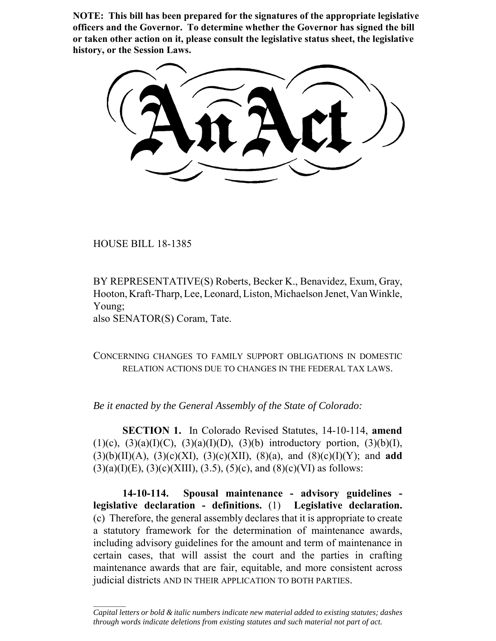**NOTE: This bill has been prepared for the signatures of the appropriate legislative officers and the Governor. To determine whether the Governor has signed the bill or taken other action on it, please consult the legislative status sheet, the legislative history, or the Session Laws.**

HOUSE BILL 18-1385

 $\frac{1}{2}$ 

BY REPRESENTATIVE(S) Roberts, Becker K., Benavidez, Exum, Gray, Hooton, Kraft-Tharp, Lee, Leonard, Liston, Michaelson Jenet, Van Winkle, Young; also SENATOR(S) Coram, Tate.

CONCERNING CHANGES TO FAMILY SUPPORT OBLIGATIONS IN DOMESTIC RELATION ACTIONS DUE TO CHANGES IN THE FEDERAL TAX LAWS.

*Be it enacted by the General Assembly of the State of Colorado:*

**SECTION 1.** In Colorado Revised Statutes, 14-10-114, **amend** (1)(c), (3)(a)(I)(C), (3)(a)(I)(D), (3)(b) introductory portion, (3)(b)(I),  $(3)(b)(II)(A)$ ,  $(3)(c)(XI)$ ,  $(3)(c)(XII)$ ,  $(8)(a)$ , and  $(8)(c)(I)(Y)$ ; and **add**  $(3)(a)(I)(E)$ ,  $(3)(c)(XIII)$ ,  $(3.5)$ ,  $(5)(c)$ , and  $(8)(c)(VI)$  as follows:

**14-10-114. Spousal maintenance - advisory guidelines legislative declaration - definitions.** (1) **Legislative declaration.** (c) Therefore, the general assembly declares that it is appropriate to create a statutory framework for the determination of maintenance awards, including advisory guidelines for the amount and term of maintenance in certain cases, that will assist the court and the parties in crafting maintenance awards that are fair, equitable, and more consistent across judicial districts AND IN THEIR APPLICATION TO BOTH PARTIES.

*Capital letters or bold & italic numbers indicate new material added to existing statutes; dashes through words indicate deletions from existing statutes and such material not part of act.*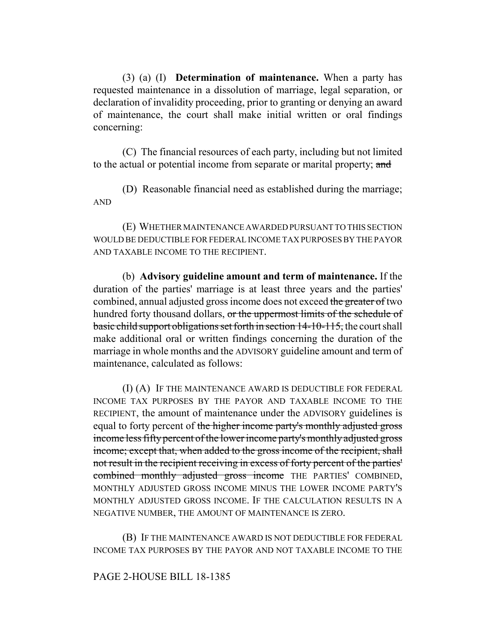(3) (a) (I) **Determination of maintenance.** When a party has requested maintenance in a dissolution of marriage, legal separation, or declaration of invalidity proceeding, prior to granting or denying an award of maintenance, the court shall make initial written or oral findings concerning:

(C) The financial resources of each party, including but not limited to the actual or potential income from separate or marital property; and

(D) Reasonable financial need as established during the marriage; AND

(E) WHETHER MAINTENANCE AWARDED PURSUANT TO THIS SECTION WOULD BE DEDUCTIBLE FOR FEDERAL INCOME TAX PURPOSES BY THE PAYOR AND TAXABLE INCOME TO THE RECIPIENT.

(b) **Advisory guideline amount and term of maintenance.** If the duration of the parties' marriage is at least three years and the parties' combined, annual adjusted gross income does not exceed the greater of two hundred forty thousand dollars, or the uppermost limits of the schedule of basic child support obligations set forth in section 14-10-115, the court shall make additional oral or written findings concerning the duration of the marriage in whole months and the ADVISORY guideline amount and term of maintenance, calculated as follows:

(I) (A) IF THE MAINTENANCE AWARD IS DEDUCTIBLE FOR FEDERAL INCOME TAX PURPOSES BY THE PAYOR AND TAXABLE INCOME TO THE RECIPIENT, the amount of maintenance under the ADVISORY guidelines is equal to forty percent of the higher income party's monthly adjusted gross income less fifty percent of the lower income party's monthly adjusted gross income; except that, when added to the gross income of the recipient, shall not result in the recipient receiving in excess of forty percent of the parties' combined monthly adjusted gross income THE PARTIES' COMBINED, MONTHLY ADJUSTED GROSS INCOME MINUS THE LOWER INCOME PARTY'S MONTHLY ADJUSTED GROSS INCOME. IF THE CALCULATION RESULTS IN A NEGATIVE NUMBER, THE AMOUNT OF MAINTENANCE IS ZERO.

(B) IF THE MAINTENANCE AWARD IS NOT DEDUCTIBLE FOR FEDERAL INCOME TAX PURPOSES BY THE PAYOR AND NOT TAXABLE INCOME TO THE

## PAGE 2-HOUSE BILL 18-1385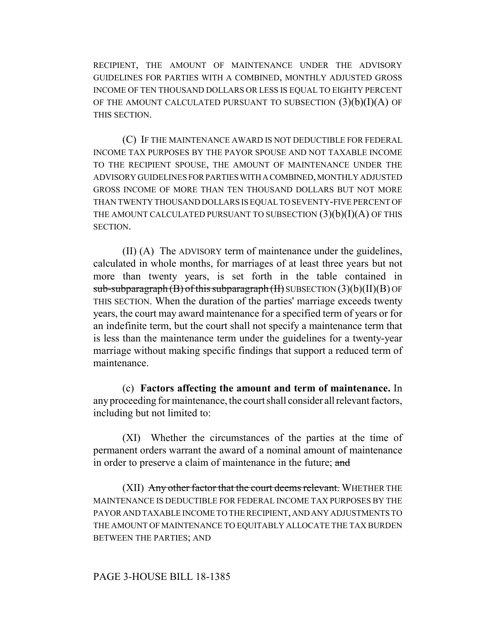RECIPIENT, THE AMOUNT OF MAINTENANCE UNDER THE ADVISORY GUIDELINES FOR PARTIES WITH A COMBINED, MONTHLY ADJUSTED GROSS INCOME OF TEN THOUSAND DOLLARS OR LESS IS EQUAL TO EIGHTY PERCENT OF THE AMOUNT CALCULATED PURSUANT TO SUBSECTION  $(3)(b)(I)(A)$  OF THIS SECTION.

(C) IF THE MAINTENANCE AWARD IS NOT DEDUCTIBLE FOR FEDERAL INCOME TAX PURPOSES BY THE PAYOR SPOUSE AND NOT TAXABLE INCOME TO THE RECIPIENT SPOUSE, THE AMOUNT OF MAINTENANCE UNDER THE ADVISORY GUIDELINES FOR PARTIES WITH A COMBINED, MONTHLY ADJUSTED GROSS INCOME OF MORE THAN TEN THOUSAND DOLLARS BUT NOT MORE THAN TWENTY THOUSAND DOLLARS IS EQUAL TO SEVENTY-FIVE PERCENT OF THE AMOUNT CALCULATED PURSUANT TO SUBSECTION  $(3)(b)(I)(A)$  OF THIS SECTION.

(II) (A) The ADVISORY term of maintenance under the guidelines, calculated in whole months, for marriages of at least three years but not more than twenty years, is set forth in the table contained in sub-subparagraph  $(B)$  of this subparagraph  $(H)$  SUBSECTION  $(3)(b)(II)(B)$  OF THIS SECTION. When the duration of the parties' marriage exceeds twenty years, the court may award maintenance for a specified term of years or for an indefinite term, but the court shall not specify a maintenance term that is less than the maintenance term under the guidelines for a twenty-year marriage without making specific findings that support a reduced term of maintenance.

(c) **Factors affecting the amount and term of maintenance.** In any proceeding for maintenance, the court shall consider all relevant factors, including but not limited to:

(XI) Whether the circumstances of the parties at the time of permanent orders warrant the award of a nominal amount of maintenance in order to preserve a claim of maintenance in the future; and

(XII) Any other factor that the court deems relevant. WHETHER THE MAINTENANCE IS DEDUCTIBLE FOR FEDERAL INCOME TAX PURPOSES BY THE PAYOR AND TAXABLE INCOME TO THE RECIPIENT, AND ANY ADJUSTMENTS TO THE AMOUNT OF MAINTENANCE TO EQUITABLY ALLOCATE THE TAX BURDEN BETWEEN THE PARTIES; AND

# PAGE 3-HOUSE BILL 18-1385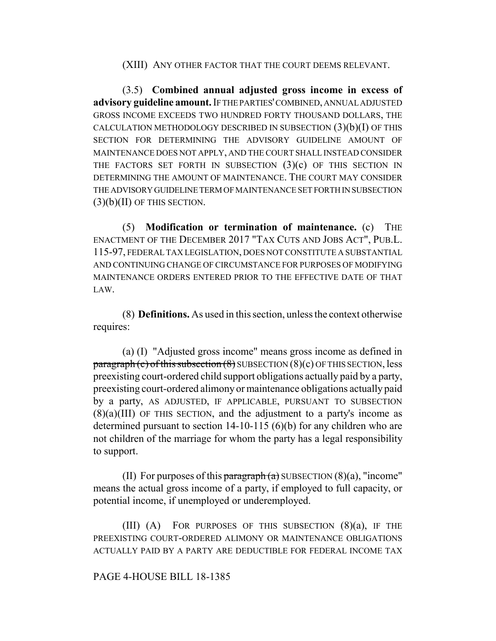## (XIII) ANY OTHER FACTOR THAT THE COURT DEEMS RELEVANT.

(3.5) **Combined annual adjusted gross income in excess of advisory guideline amount.** IF THE PARTIES' COMBINED, ANNUAL ADJUSTED GROSS INCOME EXCEEDS TWO HUNDRED FORTY THOUSAND DOLLARS, THE CALCULATION METHODOLOGY DESCRIBED IN SUBSECTION (3)(b)(I) OF THIS SECTION FOR DETERMINING THE ADVISORY GUIDELINE AMOUNT OF MAINTENANCE DOES NOT APPLY, AND THE COURT SHALL INSTEAD CONSIDER THE FACTORS SET FORTH IN SUBSECTION  $(3)(c)$  OF THIS SECTION IN DETERMINING THE AMOUNT OF MAINTENANCE. THE COURT MAY CONSIDER THE ADVISORY GUIDELINE TERM OF MAINTENANCE SET FORTH IN SUBSECTION  $(3)(b)(II)$  OF THIS SECTION.

(5) **Modification or termination of maintenance.** (c) THE ENACTMENT OF THE DECEMBER 2017 "TAX CUTS AND JOBS ACT", PUB.L. 115-97, FEDERAL TAX LEGISLATION, DOES NOT CONSTITUTE A SUBSTANTIAL AND CONTINUING CHANGE OF CIRCUMSTANCE FOR PURPOSES OF MODIFYING MAINTENANCE ORDERS ENTERED PRIOR TO THE EFFECTIVE DATE OF THAT LAW.

(8) **Definitions.** As used in this section, unless the context otherwise requires:

(a) (I) "Adjusted gross income" means gross income as defined in  $\frac{\text{pargraph}}{\text{c}}$  of this subsection  $\left(\frac{8}{8}\right)$  SUBSECTION  $(8)(c)$  OF THIS SECTION, less preexisting court-ordered child support obligations actually paid by a party, preexisting court-ordered alimony or maintenance obligations actually paid by a party, AS ADJUSTED, IF APPLICABLE, PURSUANT TO SUBSECTION  $(8)(a)(III)$  OF THIS SECTION, and the adjustment to a party's income as determined pursuant to section 14-10-115 (6)(b) for any children who are not children of the marriage for whom the party has a legal responsibility to support.

(II) For purposes of this paragraph  $(a)$  SUBSECTION  $(8)(a)$ , "income" means the actual gross income of a party, if employed to full capacity, or potential income, if unemployed or underemployed.

(III) (A) FOR PURPOSES OF THIS SUBSECTION (8)(a), IF THE PREEXISTING COURT-ORDERED ALIMONY OR MAINTENANCE OBLIGATIONS ACTUALLY PAID BY A PARTY ARE DEDUCTIBLE FOR FEDERAL INCOME TAX

## PAGE 4-HOUSE BILL 18-1385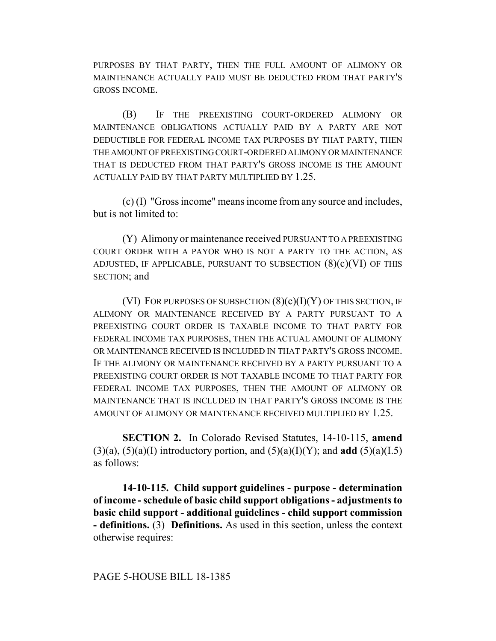PURPOSES BY THAT PARTY, THEN THE FULL AMOUNT OF ALIMONY OR MAINTENANCE ACTUALLY PAID MUST BE DEDUCTED FROM THAT PARTY'S GROSS INCOME.

(B) IF THE PREEXISTING COURT-ORDERED ALIMONY OR MAINTENANCE OBLIGATIONS ACTUALLY PAID BY A PARTY ARE NOT DEDUCTIBLE FOR FEDERAL INCOME TAX PURPOSES BY THAT PARTY, THEN THE AMOUNT OF PREEXISTING COURT-ORDERED ALIMONY OR MAINTENANCE THAT IS DEDUCTED FROM THAT PARTY'S GROSS INCOME IS THE AMOUNT ACTUALLY PAID BY THAT PARTY MULTIPLIED BY 1.25.

(c) (I) "Gross income" means income from any source and includes, but is not limited to:

(Y) Alimony or maintenance received PURSUANT TO A PREEXISTING COURT ORDER WITH A PAYOR WHO IS NOT A PARTY TO THE ACTION, AS ADJUSTED, IF APPLICABLE, PURSUANT TO SUBSECTION (8)(c)(VI) OF THIS SECTION; and

(VI) FOR PURPOSES OF SUBSECTION  $(8)(c)(I)(Y)$  OF THIS SECTION, IF ALIMONY OR MAINTENANCE RECEIVED BY A PARTY PURSUANT TO A PREEXISTING COURT ORDER IS TAXABLE INCOME TO THAT PARTY FOR FEDERAL INCOME TAX PURPOSES, THEN THE ACTUAL AMOUNT OF ALIMONY OR MAINTENANCE RECEIVED IS INCLUDED IN THAT PARTY'S GROSS INCOME. IF THE ALIMONY OR MAINTENANCE RECEIVED BY A PARTY PURSUANT TO A PREEXISTING COURT ORDER IS NOT TAXABLE INCOME TO THAT PARTY FOR FEDERAL INCOME TAX PURPOSES, THEN THE AMOUNT OF ALIMONY OR MAINTENANCE THAT IS INCLUDED IN THAT PARTY'S GROSS INCOME IS THE AMOUNT OF ALIMONY OR MAINTENANCE RECEIVED MULTIPLIED BY 1.25.

**SECTION 2.** In Colorado Revised Statutes, 14-10-115, **amend**  $(3)(a)$ ,  $(5)(a)$ (I) introductory portion, and  $(5)(a)$ (I)(Y); and **add**  $(5)(a)$ (I.5) as follows:

**14-10-115. Child support guidelines - purpose - determination of income - schedule of basic child support obligations - adjustments to basic child support - additional guidelines - child support commission - definitions.** (3) **Definitions.** As used in this section, unless the context otherwise requires: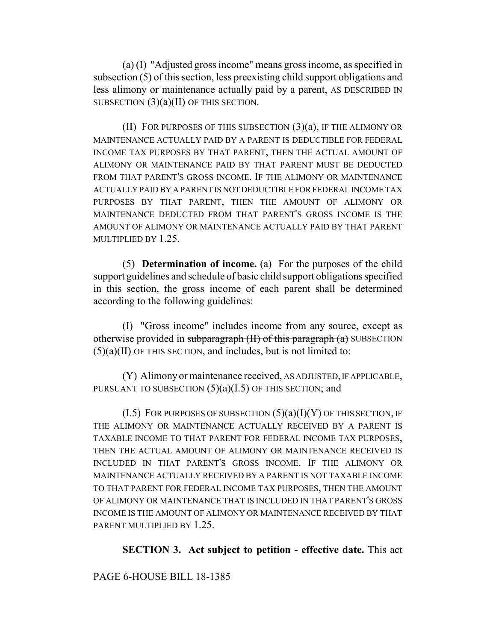(a) (I) "Adjusted gross income" means gross income, as specified in subsection (5) of this section, less preexisting child support obligations and less alimony or maintenance actually paid by a parent, AS DESCRIBED IN SUBSECTION  $(3)(a)(II)$  OF THIS SECTION.

(II) FOR PURPOSES OF THIS SUBSECTION (3)(a), IF THE ALIMONY OR MAINTENANCE ACTUALLY PAID BY A PARENT IS DEDUCTIBLE FOR FEDERAL INCOME TAX PURPOSES BY THAT PARENT, THEN THE ACTUAL AMOUNT OF ALIMONY OR MAINTENANCE PAID BY THAT PARENT MUST BE DEDUCTED FROM THAT PARENT'S GROSS INCOME. IF THE ALIMONY OR MAINTENANCE ACTUALLY PAID BY A PARENT IS NOT DEDUCTIBLE FOR FEDERAL INCOME TAX PURPOSES BY THAT PARENT, THEN THE AMOUNT OF ALIMONY OR MAINTENANCE DEDUCTED FROM THAT PARENT'S GROSS INCOME IS THE AMOUNT OF ALIMONY OR MAINTENANCE ACTUALLY PAID BY THAT PARENT MULTIPLIED BY 1.25.

(5) **Determination of income.** (a) For the purposes of the child support guidelines and schedule of basic child support obligations specified in this section, the gross income of each parent shall be determined according to the following guidelines:

(I) "Gross income" includes income from any source, except as otherwise provided in subparagraph  $(H)$  of this paragraph  $(a)$  SUBSECTION  $(5)(a)(II)$  OF THIS SECTION, and includes, but is not limited to:

(Y) Alimony or maintenance received, AS ADJUSTED, IF APPLICABLE, PURSUANT TO SUBSECTION  $(5)(a)(I.5)$  OF THIS SECTION; and

 $(I.5)$  FOR PURPOSES OF SUBSECTION  $(5)(a)(I)(Y)$  OF THIS SECTION, IF THE ALIMONY OR MAINTENANCE ACTUALLY RECEIVED BY A PARENT IS TAXABLE INCOME TO THAT PARENT FOR FEDERAL INCOME TAX PURPOSES, THEN THE ACTUAL AMOUNT OF ALIMONY OR MAINTENANCE RECEIVED IS INCLUDED IN THAT PARENT'S GROSS INCOME. IF THE ALIMONY OR MAINTENANCE ACTUALLY RECEIVED BY A PARENT IS NOT TAXABLE INCOME TO THAT PARENT FOR FEDERAL INCOME TAX PURPOSES, THEN THE AMOUNT OF ALIMONY OR MAINTENANCE THAT IS INCLUDED IN THAT PARENT'S GROSS INCOME IS THE AMOUNT OF ALIMONY OR MAINTENANCE RECEIVED BY THAT PARENT MULTIPLIED BY 1.25.

# **SECTION 3. Act subject to petition - effective date.** This act

PAGE 6-HOUSE BILL 18-1385